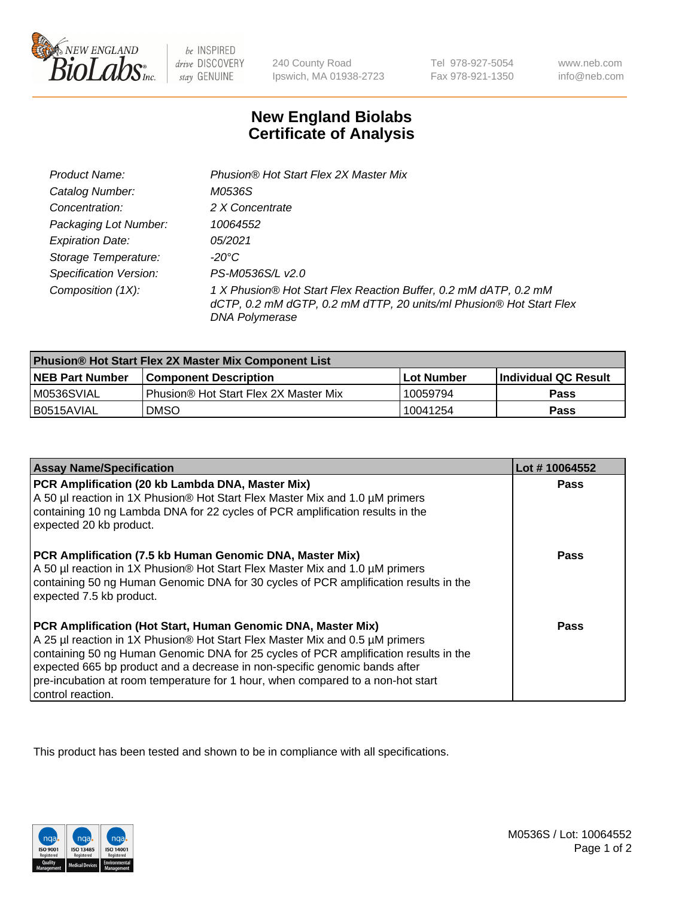

be INSPIRED drive DISCOVERY stay GENUINE

240 County Road Ipswich, MA 01938-2723

Tel 978-927-5054 Fax 978-921-1350

www.neb.com info@neb.com

## **New England Biolabs Certificate of Analysis**

| Product Name:                 | Phusion® Hot Start Flex 2X Master Mix                                                                                                                     |
|-------------------------------|-----------------------------------------------------------------------------------------------------------------------------------------------------------|
| Catalog Number:               | M0536S                                                                                                                                                    |
| Concentration:                | 2 X Concentrate                                                                                                                                           |
| Packaging Lot Number:         | 10064552                                                                                                                                                  |
| <b>Expiration Date:</b>       | 05/2021                                                                                                                                                   |
| Storage Temperature:          | -20°C                                                                                                                                                     |
| <b>Specification Version:</b> | PS-M0536S/L v2.0                                                                                                                                          |
| Composition (1X):             | 1 X Phusion® Hot Start Flex Reaction Buffer, 0.2 mM dATP, 0.2 mM<br>dCTP, 0.2 mM dGTP, 0.2 mM dTTP, 20 units/ml Phusion® Hot Start Flex<br>DNA Polymerase |

| <b>Phusion® Hot Start Flex 2X Master Mix Component List</b> |                                       |            |                      |  |
|-------------------------------------------------------------|---------------------------------------|------------|----------------------|--|
| <b>NEB Part Number</b>                                      | <b>Component Description</b>          | Lot Number | Individual QC Result |  |
| M0536SVIAL                                                  | Phusion® Hot Start Flex 2X Master Mix | 10059794   | <b>Pass</b>          |  |
| I B0515AVIAL                                                | <b>DMSO</b>                           | l 10041254 | <b>Pass</b>          |  |

| <b>Assay Name/Specification</b>                                                                                                                                                                                                                                                                                                                                                                                            | Lot #10064552 |
|----------------------------------------------------------------------------------------------------------------------------------------------------------------------------------------------------------------------------------------------------------------------------------------------------------------------------------------------------------------------------------------------------------------------------|---------------|
| PCR Amplification (20 kb Lambda DNA, Master Mix)<br>A 50 µl reaction in 1X Phusion® Hot Start Flex Master Mix and 1.0 µM primers<br>containing 10 ng Lambda DNA for 22 cycles of PCR amplification results in the<br>expected 20 kb product.                                                                                                                                                                               | <b>Pass</b>   |
| PCR Amplification (7.5 kb Human Genomic DNA, Master Mix)<br>A 50 µl reaction in 1X Phusion® Hot Start Flex Master Mix and 1.0 µM primers<br>containing 50 ng Human Genomic DNA for 30 cycles of PCR amplification results in the<br>expected 7.5 kb product.                                                                                                                                                               | <b>Pass</b>   |
| PCR Amplification (Hot Start, Human Genomic DNA, Master Mix)<br>A 25 µl reaction in 1X Phusion® Hot Start Flex Master Mix and 0.5 µM primers<br>containing 50 ng Human Genomic DNA for 25 cycles of PCR amplification results in the<br>expected 665 bp product and a decrease in non-specific genomic bands after<br>pre-incubation at room temperature for 1 hour, when compared to a non-hot start<br>control reaction. | Pass          |

This product has been tested and shown to be in compliance with all specifications.